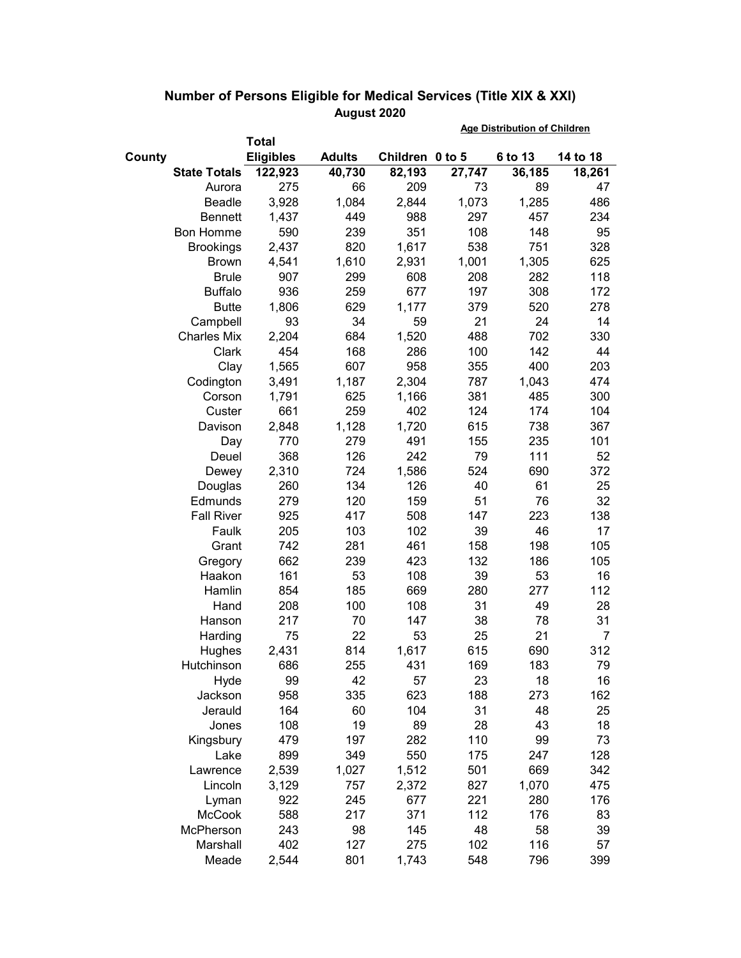|        |                     |                  |               |                 | <b>Age Distribution of Children</b> |         |          |  |
|--------|---------------------|------------------|---------------|-----------------|-------------------------------------|---------|----------|--|
|        |                     | <b>Total</b>     |               |                 |                                     |         |          |  |
| County |                     | <b>Eligibles</b> | <b>Adults</b> | Children 0 to 5 |                                     | 6 to 13 | 14 to 18 |  |
|        | <b>State Totals</b> | 122,923          | 40,730        | 82,193          | 27,747                              | 36,185  | 18,261   |  |
|        | Aurora              | 275              | 66            | 209             | 73                                  | 89      | 47       |  |
|        | Beadle              | 3,928            | 1,084         | 2,844           | 1,073                               | 1,285   | 486      |  |
|        | <b>Bennett</b>      | 1,437            | 449           | 988             | 297                                 | 457     | 234      |  |
|        | <b>Bon Homme</b>    | 590              | 239           | 351             | 108                                 | 148     | 95       |  |
|        | <b>Brookings</b>    | 2,437            | 820           | 1,617           | 538                                 | 751     | 328      |  |
|        | <b>Brown</b>        | 4,541            | 1,610         | 2,931           | 1,001                               | 1,305   | 625      |  |
|        | <b>Brule</b>        | 907              | 299           | 608             | 208                                 | 282     | 118      |  |
|        | <b>Buffalo</b>      | 936              | 259           | 677             | 197                                 | 308     | 172      |  |
|        | <b>Butte</b>        | 1,806            | 629           | 1,177           | 379                                 | 520     | 278      |  |
|        | Campbell            | 93               | 34            | 59              | 21                                  | 24      | 14       |  |
|        | <b>Charles Mix</b>  | 2,204            | 684           | 1,520           | 488                                 | 702     | 330      |  |
|        | Clark               | 454              | 168           | 286             | 100                                 | 142     | 44       |  |
|        | Clay                | 1,565            | 607           | 958             | 355                                 | 400     | 203      |  |
|        | Codington           | 3,491            | 1,187         | 2,304           | 787                                 | 1,043   | 474      |  |
|        | Corson              | 1,791            | 625           | 1,166           | 381                                 | 485     | 300      |  |
|        | Custer              | 661              | 259           | 402             | 124                                 | 174     | 104      |  |
|        | Davison             | 2,848            | 1,128         | 1,720           | 615                                 | 738     | 367      |  |
|        | Day                 | 770              | 279           | 491             | 155                                 | 235     | 101      |  |
|        | Deuel               | 368              | 126           | 242             | 79                                  | 111     | 52       |  |
|        | Dewey               | 2,310            | 724           | 1,586           | 524                                 | 690     | 372      |  |
|        | Douglas             | 260              | 134           | 126             | 40                                  | 61      | 25       |  |
|        | Edmunds             | 279              | 120           | 159             | 51                                  | 76      | 32       |  |
|        | <b>Fall River</b>   | 925              | 417           | 508             | 147                                 | 223     | 138      |  |
|        | Faulk               | 205              | 103           | 102             | 39                                  | 46      | 17       |  |
|        | Grant               | 742              | 281           | 461             | 158                                 | 198     | 105      |  |
|        | Gregory             | 662              | 239           | 423             | 132                                 | 186     | 105      |  |
|        | Haakon              | 161              | 53            | 108             | 39                                  | 53      | 16       |  |
|        | Hamlin              | 854              | 185           | 669             | 280                                 | 277     | 112      |  |
|        | Hand                | 208              | 100           | 108             | 31                                  | 49      | 28       |  |
|        | Hanson              | 217              | 70            | 147             | 38                                  | 78      | 31       |  |
|        | Harding             | 75               | 22            | 53              | 25                                  | 21      | 7        |  |
|        | Hughes              | 2,431            | 814           | 1,617           | 615                                 | 690     | 312      |  |
|        | Hutchinson          | 686              | 255           | 431             | 169                                 | 183     | 79       |  |
|        | Hyde                | 99               | 42            | 57              | 23                                  | 18      | 16       |  |
|        | Jackson             | 958              | 335           | 623             | 188                                 | 273     | 162      |  |
|        | Jerauld             | 164              | 60            | 104             | 31                                  | 48      | 25       |  |
|        | Jones               | 108              | 19            | 89              | 28                                  | 43      | 18       |  |
|        | Kingsbury           | 479              | 197           | 282             | 110                                 | 99      | 73       |  |
|        | Lake                | 899              | 349           | 550             | 175                                 | 247     | 128      |  |
|        | Lawrence            | 2,539            | 1,027         | 1,512           | 501                                 | 669     | 342      |  |
|        | Lincoln             | 3,129            | 757           | 2,372           | 827                                 | 1,070   | 475      |  |
|        | Lyman               | 922              | 245           | 677             | 221                                 | 280     | 176      |  |
|        | <b>McCook</b>       | 588              | 217           | 371             | 112                                 | 176     | 83       |  |
|        | McPherson           | 243              | 98            | 145             | 48                                  | 58      | 39       |  |
|        | Marshall            | 402              | 127           | 275             | 102                                 | 116     | 57       |  |
|        | Meade               | 2,544            | 801           | 1,743           | 548                                 | 796     | 399      |  |

## **Number of Persons Eligible for Medical Services (Title XIX & XXI) August 2020**